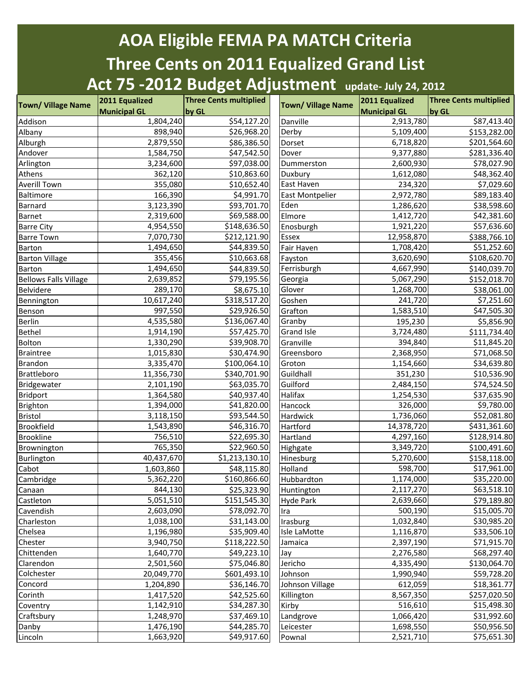## **AOA Eligible FEMA PA MATCH Criteria Three Cents on 2011 Equalized Grand List Act 75 -2012 Budget Adjustment update- July 24, 2012**

| <b>Municipal GL</b><br><b>Municipal GL</b><br>by GL<br>by GL<br>1,804,240<br>\$54,127.20<br>2,913,780<br>\$87,413.40<br>Danville<br>898,940<br>\$26,968.20<br>Albany<br>Derby<br>5,109,400<br>\$153,282.00<br>2,879,550<br>\$201,564.60<br>6,718,820<br>\$86,386.50<br>Dorset<br>1,584,750<br>\$47,542.50<br>9,377,880<br>\$281,336.40<br>Andover<br>Dover<br>\$78,027.90<br>3,234,600<br>\$97,038.00<br>2,600,930<br>Arlington<br>Dummerston<br>362,120<br>\$10,863.60<br>1,612,080<br>\$48,362.40<br>Athens<br>Duxbury<br>East Haven<br><b>Averill Town</b><br>355,080<br>234,320<br>\$10,652.40<br>\$7,029.60<br>\$4,991.70<br>Baltimore<br>166,390<br><b>East Montpelier</b><br>2,972,780<br>\$89,183.40<br>3,123,390<br>Eden<br>Barnard<br>\$93,701.70<br>1,286,620<br>\$38,598.60<br>2,319,600<br>\$69,588.00<br>\$42,381.60<br>Barnet<br>Elmore<br>1,412,720<br><b>Barre City</b><br>4,954,550<br>\$148,636.50<br>\$57,636.60<br>Enosburgh<br>1,921,220<br>\$212,121.90<br><b>Barre Town</b><br>7,070,730<br>Essex<br>12,958,870<br>\$388,766.10<br>Fair Haven<br>\$51,252.60<br>Barton<br>1,494,650<br>\$44,839.50<br>1,708,420<br>355,456<br>\$10,663.68<br><b>Barton Village</b><br>3,620,690<br>\$108,620.70<br>Fayston<br>Ferrisburgh<br>1,494,650<br>\$44,839.50<br>4,667,990<br>Barton<br>\$140,039.70<br><b>Bellows Falls Village</b><br>2,639,852<br>\$79,195.56<br>Georgia<br>5,067,290<br>\$152,018.70<br>Glover<br>Belvidere<br>289,170<br>\$8,675.10<br>1,268,700<br>\$38,061.00<br>10,617,240<br>\$318,517.20<br>\$7,251.60<br>Goshen<br>241,720<br>Bennington<br>997,550<br>Grafton<br>\$47,505.30<br>\$29,926.50<br>1,583,510<br>Benson<br>Granby<br>Berlin<br>4,535,580<br>\$136,067.40<br>195,230<br>\$5,856.90<br><b>Grand Isle</b><br>Bethel<br>1,914,190<br>\$57,425.70<br>3,724,480<br>\$111,734.40<br>Granville<br>Bolton<br>1,330,290<br>\$39,908.70<br>394,840<br>\$11,845.20<br><b>Braintree</b><br>1,015,830<br>\$30,474.90<br>Greensboro<br>\$71,068.50<br>2,368,950<br>3,335,470<br>\$100,064.10<br>\$34,639.80<br>1,154,660<br>Groton<br>\$340,701.90<br>Guildhall<br>11,356,730<br>351,230<br>\$10,536.90<br>2,101,190<br>\$63,035.70<br>Guilford<br>\$74,524.50<br>2,484,150<br>1,364,580<br>\$40,937.40<br>Halifax<br>\$37,635.90<br>1,254,530<br><b>Bridport</b><br>1,394,000<br>\$41,820.00<br>\$9,780.00<br>326,000<br>Brighton<br>Hancock<br>3,118,150<br>\$93,544.50<br>\$52,081.80<br>Hardwick<br>1,736,060<br>1,543,890<br>\$46,316.70<br>\$431,361.60<br>14,378,720<br>Hartford<br>756,510<br>\$22,695.30<br>4,297,160<br>\$128,914.80<br>Hartland<br>765,350<br>\$22,960.50<br>3,349,720<br>\$100,491.60<br>Brownington<br>Highgate<br>40,437,670<br>5,270,600<br>\$1,213,130.10<br>\$158,118.00<br>Burlington<br>Hinesburg<br>\$17,961.00<br>598,700<br>1,603,860<br>\$48,115.80<br>Holland<br>5,362,220<br>\$35,220.00<br>\$160,866.60<br>1,174,000<br>Hubbardton<br>844,130<br>\$25,323.90<br>Huntington<br>2,117,270<br>\$63,518.10<br>5,051,510<br>\$151,545.30<br>2,639,660<br>\$79,189.80<br><b>Hyde Park</b><br>2,603,090<br>\$15,005.70<br>\$78,092.70<br>500,190<br>Ira<br>1,038,100<br>1,032,840<br>\$31,143.00<br>\$30,985.20<br>Irasburg<br>1,196,980<br>\$35,909.40<br>1,116,870<br>\$33,506.10<br>Isle LaMotte<br>3,940,750<br>\$118,222.50<br>2,397,190<br>\$71,915.70<br>Jamaica<br>1,640,770<br>\$68,297.40<br>\$49,223.10<br>2,276,580<br>Jay<br>2,501,560<br>\$75,046.80<br>Jericho<br>4,335,490<br>\$130,064.70<br>20,049,770<br>\$59,728.20<br>Colchester<br>1,990,940<br>\$601,493.10<br>Johnson<br>\$18,361.77<br>1,204,890<br>\$36,146.70<br>Johnson Village<br>612,059<br>1,417,520<br>\$42,525.60<br>8,567,350<br>\$257,020.50<br>Killington<br>1,142,910<br>\$34,287.30<br>516,610<br>\$15,498.30<br>Kirby<br>1,248,970<br>1,066,420<br>\$31,992.60<br>Craftsbury<br>\$37,469.10<br>Landgrove<br>1,476,190<br>\$44,285.70<br>\$50,956.50<br>1,698,550<br>Leicester<br>1,663,920<br>\$49,917.60<br>2,521,710<br>\$75,651.30<br>Pownal | <b>Town/ Village Name</b> | 2011 Equalized | <b>Three Cents multiplied</b> | <b>Town/ Village Name</b> | 2011 Equalized | <b>Three Cents multiplied</b> |
|-------------------------------------------------------------------------------------------------------------------------------------------------------------------------------------------------------------------------------------------------------------------------------------------------------------------------------------------------------------------------------------------------------------------------------------------------------------------------------------------------------------------------------------------------------------------------------------------------------------------------------------------------------------------------------------------------------------------------------------------------------------------------------------------------------------------------------------------------------------------------------------------------------------------------------------------------------------------------------------------------------------------------------------------------------------------------------------------------------------------------------------------------------------------------------------------------------------------------------------------------------------------------------------------------------------------------------------------------------------------------------------------------------------------------------------------------------------------------------------------------------------------------------------------------------------------------------------------------------------------------------------------------------------------------------------------------------------------------------------------------------------------------------------------------------------------------------------------------------------------------------------------------------------------------------------------------------------------------------------------------------------------------------------------------------------------------------------------------------------------------------------------------------------------------------------------------------------------------------------------------------------------------------------------------------------------------------------------------------------------------------------------------------------------------------------------------------------------------------------------------------------------------------------------------------------------------------------------------------------------------------------------------------------------------------------------------------------------------------------------------------------------------------------------------------------------------------------------------------------------------------------------------------------------------------------------------------------------------------------------------------------------------------------------------------------------------------------------------------------------------------------------------------------------------------------------------------------------------------------------------------------------------------------------------------------------------------------------------------------------------------------------------------------------------------------------------------------------------------------------------------------------------------------------------------------------------------------------------------------------------------------------------------------------------------------------------------------------------------------------------------------------------------------------------------------------------------------------------------------------------------------------------------------------------------------------------------------------------------------------------------------------|---------------------------|----------------|-------------------------------|---------------------------|----------------|-------------------------------|
|                                                                                                                                                                                                                                                                                                                                                                                                                                                                                                                                                                                                                                                                                                                                                                                                                                                                                                                                                                                                                                                                                                                                                                                                                                                                                                                                                                                                                                                                                                                                                                                                                                                                                                                                                                                                                                                                                                                                                                                                                                                                                                                                                                                                                                                                                                                                                                                                                                                                                                                                                                                                                                                                                                                                                                                                                                                                                                                                                                                                                                                                                                                                                                                                                                                                                                                                                                                                                                                                                                                                                                                                                                                                                                                                                                                                                                                                                                                                                                                                                   |                           |                |                               |                           |                |                               |
|                                                                                                                                                                                                                                                                                                                                                                                                                                                                                                                                                                                                                                                                                                                                                                                                                                                                                                                                                                                                                                                                                                                                                                                                                                                                                                                                                                                                                                                                                                                                                                                                                                                                                                                                                                                                                                                                                                                                                                                                                                                                                                                                                                                                                                                                                                                                                                                                                                                                                                                                                                                                                                                                                                                                                                                                                                                                                                                                                                                                                                                                                                                                                                                                                                                                                                                                                                                                                                                                                                                                                                                                                                                                                                                                                                                                                                                                                                                                                                                                                   | Addison                   |                |                               |                           |                |                               |
|                                                                                                                                                                                                                                                                                                                                                                                                                                                                                                                                                                                                                                                                                                                                                                                                                                                                                                                                                                                                                                                                                                                                                                                                                                                                                                                                                                                                                                                                                                                                                                                                                                                                                                                                                                                                                                                                                                                                                                                                                                                                                                                                                                                                                                                                                                                                                                                                                                                                                                                                                                                                                                                                                                                                                                                                                                                                                                                                                                                                                                                                                                                                                                                                                                                                                                                                                                                                                                                                                                                                                                                                                                                                                                                                                                                                                                                                                                                                                                                                                   |                           |                |                               |                           |                |                               |
|                                                                                                                                                                                                                                                                                                                                                                                                                                                                                                                                                                                                                                                                                                                                                                                                                                                                                                                                                                                                                                                                                                                                                                                                                                                                                                                                                                                                                                                                                                                                                                                                                                                                                                                                                                                                                                                                                                                                                                                                                                                                                                                                                                                                                                                                                                                                                                                                                                                                                                                                                                                                                                                                                                                                                                                                                                                                                                                                                                                                                                                                                                                                                                                                                                                                                                                                                                                                                                                                                                                                                                                                                                                                                                                                                                                                                                                                                                                                                                                                                   | Alburgh                   |                |                               |                           |                |                               |
|                                                                                                                                                                                                                                                                                                                                                                                                                                                                                                                                                                                                                                                                                                                                                                                                                                                                                                                                                                                                                                                                                                                                                                                                                                                                                                                                                                                                                                                                                                                                                                                                                                                                                                                                                                                                                                                                                                                                                                                                                                                                                                                                                                                                                                                                                                                                                                                                                                                                                                                                                                                                                                                                                                                                                                                                                                                                                                                                                                                                                                                                                                                                                                                                                                                                                                                                                                                                                                                                                                                                                                                                                                                                                                                                                                                                                                                                                                                                                                                                                   |                           |                |                               |                           |                |                               |
|                                                                                                                                                                                                                                                                                                                                                                                                                                                                                                                                                                                                                                                                                                                                                                                                                                                                                                                                                                                                                                                                                                                                                                                                                                                                                                                                                                                                                                                                                                                                                                                                                                                                                                                                                                                                                                                                                                                                                                                                                                                                                                                                                                                                                                                                                                                                                                                                                                                                                                                                                                                                                                                                                                                                                                                                                                                                                                                                                                                                                                                                                                                                                                                                                                                                                                                                                                                                                                                                                                                                                                                                                                                                                                                                                                                                                                                                                                                                                                                                                   |                           |                |                               |                           |                |                               |
|                                                                                                                                                                                                                                                                                                                                                                                                                                                                                                                                                                                                                                                                                                                                                                                                                                                                                                                                                                                                                                                                                                                                                                                                                                                                                                                                                                                                                                                                                                                                                                                                                                                                                                                                                                                                                                                                                                                                                                                                                                                                                                                                                                                                                                                                                                                                                                                                                                                                                                                                                                                                                                                                                                                                                                                                                                                                                                                                                                                                                                                                                                                                                                                                                                                                                                                                                                                                                                                                                                                                                                                                                                                                                                                                                                                                                                                                                                                                                                                                                   |                           |                |                               |                           |                |                               |
|                                                                                                                                                                                                                                                                                                                                                                                                                                                                                                                                                                                                                                                                                                                                                                                                                                                                                                                                                                                                                                                                                                                                                                                                                                                                                                                                                                                                                                                                                                                                                                                                                                                                                                                                                                                                                                                                                                                                                                                                                                                                                                                                                                                                                                                                                                                                                                                                                                                                                                                                                                                                                                                                                                                                                                                                                                                                                                                                                                                                                                                                                                                                                                                                                                                                                                                                                                                                                                                                                                                                                                                                                                                                                                                                                                                                                                                                                                                                                                                                                   |                           |                |                               |                           |                |                               |
|                                                                                                                                                                                                                                                                                                                                                                                                                                                                                                                                                                                                                                                                                                                                                                                                                                                                                                                                                                                                                                                                                                                                                                                                                                                                                                                                                                                                                                                                                                                                                                                                                                                                                                                                                                                                                                                                                                                                                                                                                                                                                                                                                                                                                                                                                                                                                                                                                                                                                                                                                                                                                                                                                                                                                                                                                                                                                                                                                                                                                                                                                                                                                                                                                                                                                                                                                                                                                                                                                                                                                                                                                                                                                                                                                                                                                                                                                                                                                                                                                   |                           |                |                               |                           |                |                               |
|                                                                                                                                                                                                                                                                                                                                                                                                                                                                                                                                                                                                                                                                                                                                                                                                                                                                                                                                                                                                                                                                                                                                                                                                                                                                                                                                                                                                                                                                                                                                                                                                                                                                                                                                                                                                                                                                                                                                                                                                                                                                                                                                                                                                                                                                                                                                                                                                                                                                                                                                                                                                                                                                                                                                                                                                                                                                                                                                                                                                                                                                                                                                                                                                                                                                                                                                                                                                                                                                                                                                                                                                                                                                                                                                                                                                                                                                                                                                                                                                                   |                           |                |                               |                           |                |                               |
|                                                                                                                                                                                                                                                                                                                                                                                                                                                                                                                                                                                                                                                                                                                                                                                                                                                                                                                                                                                                                                                                                                                                                                                                                                                                                                                                                                                                                                                                                                                                                                                                                                                                                                                                                                                                                                                                                                                                                                                                                                                                                                                                                                                                                                                                                                                                                                                                                                                                                                                                                                                                                                                                                                                                                                                                                                                                                                                                                                                                                                                                                                                                                                                                                                                                                                                                                                                                                                                                                                                                                                                                                                                                                                                                                                                                                                                                                                                                                                                                                   |                           |                |                               |                           |                |                               |
|                                                                                                                                                                                                                                                                                                                                                                                                                                                                                                                                                                                                                                                                                                                                                                                                                                                                                                                                                                                                                                                                                                                                                                                                                                                                                                                                                                                                                                                                                                                                                                                                                                                                                                                                                                                                                                                                                                                                                                                                                                                                                                                                                                                                                                                                                                                                                                                                                                                                                                                                                                                                                                                                                                                                                                                                                                                                                                                                                                                                                                                                                                                                                                                                                                                                                                                                                                                                                                                                                                                                                                                                                                                                                                                                                                                                                                                                                                                                                                                                                   |                           |                |                               |                           |                |                               |
|                                                                                                                                                                                                                                                                                                                                                                                                                                                                                                                                                                                                                                                                                                                                                                                                                                                                                                                                                                                                                                                                                                                                                                                                                                                                                                                                                                                                                                                                                                                                                                                                                                                                                                                                                                                                                                                                                                                                                                                                                                                                                                                                                                                                                                                                                                                                                                                                                                                                                                                                                                                                                                                                                                                                                                                                                                                                                                                                                                                                                                                                                                                                                                                                                                                                                                                                                                                                                                                                                                                                                                                                                                                                                                                                                                                                                                                                                                                                                                                                                   |                           |                |                               |                           |                |                               |
|                                                                                                                                                                                                                                                                                                                                                                                                                                                                                                                                                                                                                                                                                                                                                                                                                                                                                                                                                                                                                                                                                                                                                                                                                                                                                                                                                                                                                                                                                                                                                                                                                                                                                                                                                                                                                                                                                                                                                                                                                                                                                                                                                                                                                                                                                                                                                                                                                                                                                                                                                                                                                                                                                                                                                                                                                                                                                                                                                                                                                                                                                                                                                                                                                                                                                                                                                                                                                                                                                                                                                                                                                                                                                                                                                                                                                                                                                                                                                                                                                   |                           |                |                               |                           |                |                               |
|                                                                                                                                                                                                                                                                                                                                                                                                                                                                                                                                                                                                                                                                                                                                                                                                                                                                                                                                                                                                                                                                                                                                                                                                                                                                                                                                                                                                                                                                                                                                                                                                                                                                                                                                                                                                                                                                                                                                                                                                                                                                                                                                                                                                                                                                                                                                                                                                                                                                                                                                                                                                                                                                                                                                                                                                                                                                                                                                                                                                                                                                                                                                                                                                                                                                                                                                                                                                                                                                                                                                                                                                                                                                                                                                                                                                                                                                                                                                                                                                                   |                           |                |                               |                           |                |                               |
|                                                                                                                                                                                                                                                                                                                                                                                                                                                                                                                                                                                                                                                                                                                                                                                                                                                                                                                                                                                                                                                                                                                                                                                                                                                                                                                                                                                                                                                                                                                                                                                                                                                                                                                                                                                                                                                                                                                                                                                                                                                                                                                                                                                                                                                                                                                                                                                                                                                                                                                                                                                                                                                                                                                                                                                                                                                                                                                                                                                                                                                                                                                                                                                                                                                                                                                                                                                                                                                                                                                                                                                                                                                                                                                                                                                                                                                                                                                                                                                                                   |                           |                |                               |                           |                |                               |
|                                                                                                                                                                                                                                                                                                                                                                                                                                                                                                                                                                                                                                                                                                                                                                                                                                                                                                                                                                                                                                                                                                                                                                                                                                                                                                                                                                                                                                                                                                                                                                                                                                                                                                                                                                                                                                                                                                                                                                                                                                                                                                                                                                                                                                                                                                                                                                                                                                                                                                                                                                                                                                                                                                                                                                                                                                                                                                                                                                                                                                                                                                                                                                                                                                                                                                                                                                                                                                                                                                                                                                                                                                                                                                                                                                                                                                                                                                                                                                                                                   |                           |                |                               |                           |                |                               |
|                                                                                                                                                                                                                                                                                                                                                                                                                                                                                                                                                                                                                                                                                                                                                                                                                                                                                                                                                                                                                                                                                                                                                                                                                                                                                                                                                                                                                                                                                                                                                                                                                                                                                                                                                                                                                                                                                                                                                                                                                                                                                                                                                                                                                                                                                                                                                                                                                                                                                                                                                                                                                                                                                                                                                                                                                                                                                                                                                                                                                                                                                                                                                                                                                                                                                                                                                                                                                                                                                                                                                                                                                                                                                                                                                                                                                                                                                                                                                                                                                   |                           |                |                               |                           |                |                               |
|                                                                                                                                                                                                                                                                                                                                                                                                                                                                                                                                                                                                                                                                                                                                                                                                                                                                                                                                                                                                                                                                                                                                                                                                                                                                                                                                                                                                                                                                                                                                                                                                                                                                                                                                                                                                                                                                                                                                                                                                                                                                                                                                                                                                                                                                                                                                                                                                                                                                                                                                                                                                                                                                                                                                                                                                                                                                                                                                                                                                                                                                                                                                                                                                                                                                                                                                                                                                                                                                                                                                                                                                                                                                                                                                                                                                                                                                                                                                                                                                                   |                           |                |                               |                           |                |                               |
|                                                                                                                                                                                                                                                                                                                                                                                                                                                                                                                                                                                                                                                                                                                                                                                                                                                                                                                                                                                                                                                                                                                                                                                                                                                                                                                                                                                                                                                                                                                                                                                                                                                                                                                                                                                                                                                                                                                                                                                                                                                                                                                                                                                                                                                                                                                                                                                                                                                                                                                                                                                                                                                                                                                                                                                                                                                                                                                                                                                                                                                                                                                                                                                                                                                                                                                                                                                                                                                                                                                                                                                                                                                                                                                                                                                                                                                                                                                                                                                                                   |                           |                |                               |                           |                |                               |
|                                                                                                                                                                                                                                                                                                                                                                                                                                                                                                                                                                                                                                                                                                                                                                                                                                                                                                                                                                                                                                                                                                                                                                                                                                                                                                                                                                                                                                                                                                                                                                                                                                                                                                                                                                                                                                                                                                                                                                                                                                                                                                                                                                                                                                                                                                                                                                                                                                                                                                                                                                                                                                                                                                                                                                                                                                                                                                                                                                                                                                                                                                                                                                                                                                                                                                                                                                                                                                                                                                                                                                                                                                                                                                                                                                                                                                                                                                                                                                                                                   |                           |                |                               |                           |                |                               |
|                                                                                                                                                                                                                                                                                                                                                                                                                                                                                                                                                                                                                                                                                                                                                                                                                                                                                                                                                                                                                                                                                                                                                                                                                                                                                                                                                                                                                                                                                                                                                                                                                                                                                                                                                                                                                                                                                                                                                                                                                                                                                                                                                                                                                                                                                                                                                                                                                                                                                                                                                                                                                                                                                                                                                                                                                                                                                                                                                                                                                                                                                                                                                                                                                                                                                                                                                                                                                                                                                                                                                                                                                                                                                                                                                                                                                                                                                                                                                                                                                   |                           |                |                               |                           |                |                               |
|                                                                                                                                                                                                                                                                                                                                                                                                                                                                                                                                                                                                                                                                                                                                                                                                                                                                                                                                                                                                                                                                                                                                                                                                                                                                                                                                                                                                                                                                                                                                                                                                                                                                                                                                                                                                                                                                                                                                                                                                                                                                                                                                                                                                                                                                                                                                                                                                                                                                                                                                                                                                                                                                                                                                                                                                                                                                                                                                                                                                                                                                                                                                                                                                                                                                                                                                                                                                                                                                                                                                                                                                                                                                                                                                                                                                                                                                                                                                                                                                                   |                           |                |                               |                           |                |                               |
|                                                                                                                                                                                                                                                                                                                                                                                                                                                                                                                                                                                                                                                                                                                                                                                                                                                                                                                                                                                                                                                                                                                                                                                                                                                                                                                                                                                                                                                                                                                                                                                                                                                                                                                                                                                                                                                                                                                                                                                                                                                                                                                                                                                                                                                                                                                                                                                                                                                                                                                                                                                                                                                                                                                                                                                                                                                                                                                                                                                                                                                                                                                                                                                                                                                                                                                                                                                                                                                                                                                                                                                                                                                                                                                                                                                                                                                                                                                                                                                                                   |                           |                |                               |                           |                |                               |
|                                                                                                                                                                                                                                                                                                                                                                                                                                                                                                                                                                                                                                                                                                                                                                                                                                                                                                                                                                                                                                                                                                                                                                                                                                                                                                                                                                                                                                                                                                                                                                                                                                                                                                                                                                                                                                                                                                                                                                                                                                                                                                                                                                                                                                                                                                                                                                                                                                                                                                                                                                                                                                                                                                                                                                                                                                                                                                                                                                                                                                                                                                                                                                                                                                                                                                                                                                                                                                                                                                                                                                                                                                                                                                                                                                                                                                                                                                                                                                                                                   | <b>Brandon</b>            |                |                               |                           |                |                               |
|                                                                                                                                                                                                                                                                                                                                                                                                                                                                                                                                                                                                                                                                                                                                                                                                                                                                                                                                                                                                                                                                                                                                                                                                                                                                                                                                                                                                                                                                                                                                                                                                                                                                                                                                                                                                                                                                                                                                                                                                                                                                                                                                                                                                                                                                                                                                                                                                                                                                                                                                                                                                                                                                                                                                                                                                                                                                                                                                                                                                                                                                                                                                                                                                                                                                                                                                                                                                                                                                                                                                                                                                                                                                                                                                                                                                                                                                                                                                                                                                                   | Brattleboro               |                |                               |                           |                |                               |
|                                                                                                                                                                                                                                                                                                                                                                                                                                                                                                                                                                                                                                                                                                                                                                                                                                                                                                                                                                                                                                                                                                                                                                                                                                                                                                                                                                                                                                                                                                                                                                                                                                                                                                                                                                                                                                                                                                                                                                                                                                                                                                                                                                                                                                                                                                                                                                                                                                                                                                                                                                                                                                                                                                                                                                                                                                                                                                                                                                                                                                                                                                                                                                                                                                                                                                                                                                                                                                                                                                                                                                                                                                                                                                                                                                                                                                                                                                                                                                                                                   | Bridgewater               |                |                               |                           |                |                               |
|                                                                                                                                                                                                                                                                                                                                                                                                                                                                                                                                                                                                                                                                                                                                                                                                                                                                                                                                                                                                                                                                                                                                                                                                                                                                                                                                                                                                                                                                                                                                                                                                                                                                                                                                                                                                                                                                                                                                                                                                                                                                                                                                                                                                                                                                                                                                                                                                                                                                                                                                                                                                                                                                                                                                                                                                                                                                                                                                                                                                                                                                                                                                                                                                                                                                                                                                                                                                                                                                                                                                                                                                                                                                                                                                                                                                                                                                                                                                                                                                                   |                           |                |                               |                           |                |                               |
|                                                                                                                                                                                                                                                                                                                                                                                                                                                                                                                                                                                                                                                                                                                                                                                                                                                                                                                                                                                                                                                                                                                                                                                                                                                                                                                                                                                                                                                                                                                                                                                                                                                                                                                                                                                                                                                                                                                                                                                                                                                                                                                                                                                                                                                                                                                                                                                                                                                                                                                                                                                                                                                                                                                                                                                                                                                                                                                                                                                                                                                                                                                                                                                                                                                                                                                                                                                                                                                                                                                                                                                                                                                                                                                                                                                                                                                                                                                                                                                                                   |                           |                |                               |                           |                |                               |
|                                                                                                                                                                                                                                                                                                                                                                                                                                                                                                                                                                                                                                                                                                                                                                                                                                                                                                                                                                                                                                                                                                                                                                                                                                                                                                                                                                                                                                                                                                                                                                                                                                                                                                                                                                                                                                                                                                                                                                                                                                                                                                                                                                                                                                                                                                                                                                                                                                                                                                                                                                                                                                                                                                                                                                                                                                                                                                                                                                                                                                                                                                                                                                                                                                                                                                                                                                                                                                                                                                                                                                                                                                                                                                                                                                                                                                                                                                                                                                                                                   | <b>Bristol</b>            |                |                               |                           |                |                               |
|                                                                                                                                                                                                                                                                                                                                                                                                                                                                                                                                                                                                                                                                                                                                                                                                                                                                                                                                                                                                                                                                                                                                                                                                                                                                                                                                                                                                                                                                                                                                                                                                                                                                                                                                                                                                                                                                                                                                                                                                                                                                                                                                                                                                                                                                                                                                                                                                                                                                                                                                                                                                                                                                                                                                                                                                                                                                                                                                                                                                                                                                                                                                                                                                                                                                                                                                                                                                                                                                                                                                                                                                                                                                                                                                                                                                                                                                                                                                                                                                                   | Brookfield                |                |                               |                           |                |                               |
|                                                                                                                                                                                                                                                                                                                                                                                                                                                                                                                                                                                                                                                                                                                                                                                                                                                                                                                                                                                                                                                                                                                                                                                                                                                                                                                                                                                                                                                                                                                                                                                                                                                                                                                                                                                                                                                                                                                                                                                                                                                                                                                                                                                                                                                                                                                                                                                                                                                                                                                                                                                                                                                                                                                                                                                                                                                                                                                                                                                                                                                                                                                                                                                                                                                                                                                                                                                                                                                                                                                                                                                                                                                                                                                                                                                                                                                                                                                                                                                                                   | <b>Brookline</b>          |                |                               |                           |                |                               |
|                                                                                                                                                                                                                                                                                                                                                                                                                                                                                                                                                                                                                                                                                                                                                                                                                                                                                                                                                                                                                                                                                                                                                                                                                                                                                                                                                                                                                                                                                                                                                                                                                                                                                                                                                                                                                                                                                                                                                                                                                                                                                                                                                                                                                                                                                                                                                                                                                                                                                                                                                                                                                                                                                                                                                                                                                                                                                                                                                                                                                                                                                                                                                                                                                                                                                                                                                                                                                                                                                                                                                                                                                                                                                                                                                                                                                                                                                                                                                                                                                   |                           |                |                               |                           |                |                               |
|                                                                                                                                                                                                                                                                                                                                                                                                                                                                                                                                                                                                                                                                                                                                                                                                                                                                                                                                                                                                                                                                                                                                                                                                                                                                                                                                                                                                                                                                                                                                                                                                                                                                                                                                                                                                                                                                                                                                                                                                                                                                                                                                                                                                                                                                                                                                                                                                                                                                                                                                                                                                                                                                                                                                                                                                                                                                                                                                                                                                                                                                                                                                                                                                                                                                                                                                                                                                                                                                                                                                                                                                                                                                                                                                                                                                                                                                                                                                                                                                                   |                           |                |                               |                           |                |                               |
|                                                                                                                                                                                                                                                                                                                                                                                                                                                                                                                                                                                                                                                                                                                                                                                                                                                                                                                                                                                                                                                                                                                                                                                                                                                                                                                                                                                                                                                                                                                                                                                                                                                                                                                                                                                                                                                                                                                                                                                                                                                                                                                                                                                                                                                                                                                                                                                                                                                                                                                                                                                                                                                                                                                                                                                                                                                                                                                                                                                                                                                                                                                                                                                                                                                                                                                                                                                                                                                                                                                                                                                                                                                                                                                                                                                                                                                                                                                                                                                                                   | Cabot                     |                |                               |                           |                |                               |
|                                                                                                                                                                                                                                                                                                                                                                                                                                                                                                                                                                                                                                                                                                                                                                                                                                                                                                                                                                                                                                                                                                                                                                                                                                                                                                                                                                                                                                                                                                                                                                                                                                                                                                                                                                                                                                                                                                                                                                                                                                                                                                                                                                                                                                                                                                                                                                                                                                                                                                                                                                                                                                                                                                                                                                                                                                                                                                                                                                                                                                                                                                                                                                                                                                                                                                                                                                                                                                                                                                                                                                                                                                                                                                                                                                                                                                                                                                                                                                                                                   | Cambridge                 |                |                               |                           |                |                               |
|                                                                                                                                                                                                                                                                                                                                                                                                                                                                                                                                                                                                                                                                                                                                                                                                                                                                                                                                                                                                                                                                                                                                                                                                                                                                                                                                                                                                                                                                                                                                                                                                                                                                                                                                                                                                                                                                                                                                                                                                                                                                                                                                                                                                                                                                                                                                                                                                                                                                                                                                                                                                                                                                                                                                                                                                                                                                                                                                                                                                                                                                                                                                                                                                                                                                                                                                                                                                                                                                                                                                                                                                                                                                                                                                                                                                                                                                                                                                                                                                                   | Canaan                    |                |                               |                           |                |                               |
|                                                                                                                                                                                                                                                                                                                                                                                                                                                                                                                                                                                                                                                                                                                                                                                                                                                                                                                                                                                                                                                                                                                                                                                                                                                                                                                                                                                                                                                                                                                                                                                                                                                                                                                                                                                                                                                                                                                                                                                                                                                                                                                                                                                                                                                                                                                                                                                                                                                                                                                                                                                                                                                                                                                                                                                                                                                                                                                                                                                                                                                                                                                                                                                                                                                                                                                                                                                                                                                                                                                                                                                                                                                                                                                                                                                                                                                                                                                                                                                                                   | Castleton                 |                |                               |                           |                |                               |
|                                                                                                                                                                                                                                                                                                                                                                                                                                                                                                                                                                                                                                                                                                                                                                                                                                                                                                                                                                                                                                                                                                                                                                                                                                                                                                                                                                                                                                                                                                                                                                                                                                                                                                                                                                                                                                                                                                                                                                                                                                                                                                                                                                                                                                                                                                                                                                                                                                                                                                                                                                                                                                                                                                                                                                                                                                                                                                                                                                                                                                                                                                                                                                                                                                                                                                                                                                                                                                                                                                                                                                                                                                                                                                                                                                                                                                                                                                                                                                                                                   | Cavendish                 |                |                               |                           |                |                               |
|                                                                                                                                                                                                                                                                                                                                                                                                                                                                                                                                                                                                                                                                                                                                                                                                                                                                                                                                                                                                                                                                                                                                                                                                                                                                                                                                                                                                                                                                                                                                                                                                                                                                                                                                                                                                                                                                                                                                                                                                                                                                                                                                                                                                                                                                                                                                                                                                                                                                                                                                                                                                                                                                                                                                                                                                                                                                                                                                                                                                                                                                                                                                                                                                                                                                                                                                                                                                                                                                                                                                                                                                                                                                                                                                                                                                                                                                                                                                                                                                                   | Charleston                |                |                               |                           |                |                               |
|                                                                                                                                                                                                                                                                                                                                                                                                                                                                                                                                                                                                                                                                                                                                                                                                                                                                                                                                                                                                                                                                                                                                                                                                                                                                                                                                                                                                                                                                                                                                                                                                                                                                                                                                                                                                                                                                                                                                                                                                                                                                                                                                                                                                                                                                                                                                                                                                                                                                                                                                                                                                                                                                                                                                                                                                                                                                                                                                                                                                                                                                                                                                                                                                                                                                                                                                                                                                                                                                                                                                                                                                                                                                                                                                                                                                                                                                                                                                                                                                                   | Chelsea                   |                |                               |                           |                |                               |
|                                                                                                                                                                                                                                                                                                                                                                                                                                                                                                                                                                                                                                                                                                                                                                                                                                                                                                                                                                                                                                                                                                                                                                                                                                                                                                                                                                                                                                                                                                                                                                                                                                                                                                                                                                                                                                                                                                                                                                                                                                                                                                                                                                                                                                                                                                                                                                                                                                                                                                                                                                                                                                                                                                                                                                                                                                                                                                                                                                                                                                                                                                                                                                                                                                                                                                                                                                                                                                                                                                                                                                                                                                                                                                                                                                                                                                                                                                                                                                                                                   | Chester                   |                |                               |                           |                |                               |
|                                                                                                                                                                                                                                                                                                                                                                                                                                                                                                                                                                                                                                                                                                                                                                                                                                                                                                                                                                                                                                                                                                                                                                                                                                                                                                                                                                                                                                                                                                                                                                                                                                                                                                                                                                                                                                                                                                                                                                                                                                                                                                                                                                                                                                                                                                                                                                                                                                                                                                                                                                                                                                                                                                                                                                                                                                                                                                                                                                                                                                                                                                                                                                                                                                                                                                                                                                                                                                                                                                                                                                                                                                                                                                                                                                                                                                                                                                                                                                                                                   | Chittenden                |                |                               |                           |                |                               |
|                                                                                                                                                                                                                                                                                                                                                                                                                                                                                                                                                                                                                                                                                                                                                                                                                                                                                                                                                                                                                                                                                                                                                                                                                                                                                                                                                                                                                                                                                                                                                                                                                                                                                                                                                                                                                                                                                                                                                                                                                                                                                                                                                                                                                                                                                                                                                                                                                                                                                                                                                                                                                                                                                                                                                                                                                                                                                                                                                                                                                                                                                                                                                                                                                                                                                                                                                                                                                                                                                                                                                                                                                                                                                                                                                                                                                                                                                                                                                                                                                   | Clarendon                 |                |                               |                           |                |                               |
|                                                                                                                                                                                                                                                                                                                                                                                                                                                                                                                                                                                                                                                                                                                                                                                                                                                                                                                                                                                                                                                                                                                                                                                                                                                                                                                                                                                                                                                                                                                                                                                                                                                                                                                                                                                                                                                                                                                                                                                                                                                                                                                                                                                                                                                                                                                                                                                                                                                                                                                                                                                                                                                                                                                                                                                                                                                                                                                                                                                                                                                                                                                                                                                                                                                                                                                                                                                                                                                                                                                                                                                                                                                                                                                                                                                                                                                                                                                                                                                                                   |                           |                |                               |                           |                |                               |
|                                                                                                                                                                                                                                                                                                                                                                                                                                                                                                                                                                                                                                                                                                                                                                                                                                                                                                                                                                                                                                                                                                                                                                                                                                                                                                                                                                                                                                                                                                                                                                                                                                                                                                                                                                                                                                                                                                                                                                                                                                                                                                                                                                                                                                                                                                                                                                                                                                                                                                                                                                                                                                                                                                                                                                                                                                                                                                                                                                                                                                                                                                                                                                                                                                                                                                                                                                                                                                                                                                                                                                                                                                                                                                                                                                                                                                                                                                                                                                                                                   | Concord                   |                |                               |                           |                |                               |
|                                                                                                                                                                                                                                                                                                                                                                                                                                                                                                                                                                                                                                                                                                                                                                                                                                                                                                                                                                                                                                                                                                                                                                                                                                                                                                                                                                                                                                                                                                                                                                                                                                                                                                                                                                                                                                                                                                                                                                                                                                                                                                                                                                                                                                                                                                                                                                                                                                                                                                                                                                                                                                                                                                                                                                                                                                                                                                                                                                                                                                                                                                                                                                                                                                                                                                                                                                                                                                                                                                                                                                                                                                                                                                                                                                                                                                                                                                                                                                                                                   | Corinth                   |                |                               |                           |                |                               |
|                                                                                                                                                                                                                                                                                                                                                                                                                                                                                                                                                                                                                                                                                                                                                                                                                                                                                                                                                                                                                                                                                                                                                                                                                                                                                                                                                                                                                                                                                                                                                                                                                                                                                                                                                                                                                                                                                                                                                                                                                                                                                                                                                                                                                                                                                                                                                                                                                                                                                                                                                                                                                                                                                                                                                                                                                                                                                                                                                                                                                                                                                                                                                                                                                                                                                                                                                                                                                                                                                                                                                                                                                                                                                                                                                                                                                                                                                                                                                                                                                   | Coventry                  |                |                               |                           |                |                               |
|                                                                                                                                                                                                                                                                                                                                                                                                                                                                                                                                                                                                                                                                                                                                                                                                                                                                                                                                                                                                                                                                                                                                                                                                                                                                                                                                                                                                                                                                                                                                                                                                                                                                                                                                                                                                                                                                                                                                                                                                                                                                                                                                                                                                                                                                                                                                                                                                                                                                                                                                                                                                                                                                                                                                                                                                                                                                                                                                                                                                                                                                                                                                                                                                                                                                                                                                                                                                                                                                                                                                                                                                                                                                                                                                                                                                                                                                                                                                                                                                                   |                           |                |                               |                           |                |                               |
|                                                                                                                                                                                                                                                                                                                                                                                                                                                                                                                                                                                                                                                                                                                                                                                                                                                                                                                                                                                                                                                                                                                                                                                                                                                                                                                                                                                                                                                                                                                                                                                                                                                                                                                                                                                                                                                                                                                                                                                                                                                                                                                                                                                                                                                                                                                                                                                                                                                                                                                                                                                                                                                                                                                                                                                                                                                                                                                                                                                                                                                                                                                                                                                                                                                                                                                                                                                                                                                                                                                                                                                                                                                                                                                                                                                                                                                                                                                                                                                                                   | Danby                     |                |                               |                           |                |                               |
|                                                                                                                                                                                                                                                                                                                                                                                                                                                                                                                                                                                                                                                                                                                                                                                                                                                                                                                                                                                                                                                                                                                                                                                                                                                                                                                                                                                                                                                                                                                                                                                                                                                                                                                                                                                                                                                                                                                                                                                                                                                                                                                                                                                                                                                                                                                                                                                                                                                                                                                                                                                                                                                                                                                                                                                                                                                                                                                                                                                                                                                                                                                                                                                                                                                                                                                                                                                                                                                                                                                                                                                                                                                                                                                                                                                                                                                                                                                                                                                                                   | Lincoln                   |                |                               |                           |                |                               |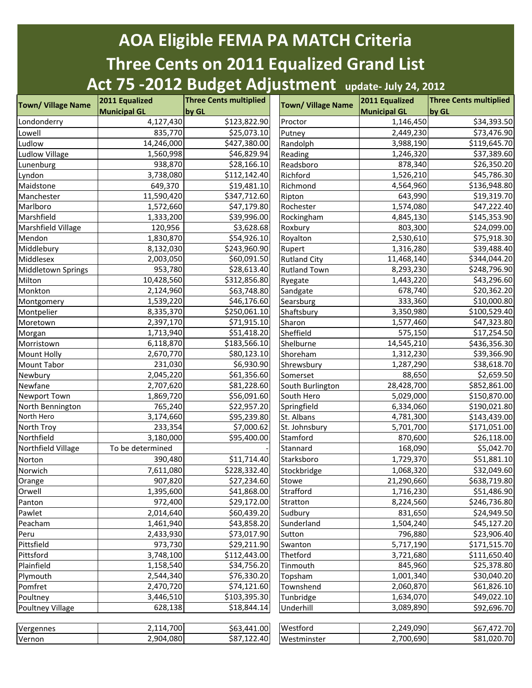## **AOA Eligible FEMA PA MATCH Criteria Three Cents on 2011 Equalized Grand List Act 75 -2012 Budget Adjustment update- July 24, 2012**

| <b>Town/ Village Name</b> | 2011 Equalized      | <b>Three Cents multiplied</b> | <b>Town/ Village Name</b> | 2011 Equalized         | <b>Three Cents multiplied</b> |
|---------------------------|---------------------|-------------------------------|---------------------------|------------------------|-------------------------------|
|                           | <b>Municipal GL</b> | by GL                         |                           | <b>Municipal GL</b>    | by GL                         |
| Londonderry               | 4,127,430           | \$123,822.90                  | Proctor                   | 1,146,450              | \$34,393.50                   |
| Lowell                    | 835,770             | \$25,073.10                   | Putney                    | 2,449,230              | \$73,476.90                   |
| Ludlow                    | 14,246,000          | \$427,380.00                  | Randolph                  | 3,988,190              | \$119,645.70                  |
| <b>Ludlow Village</b>     | 1,560,998           | \$46,829.94                   | Reading                   | 1,246,320              | \$37,389.60                   |
| Lunenburg                 | 938,870             | \$28,166.10                   | Readsboro                 | 878,340                | \$26,350.20                   |
| Lyndon                    | 3,738,080           | \$112,142.40                  | Richford                  | 1,526,210              | \$45,786.30                   |
| Maidstone                 | 649,370             | \$19,481.10                   | Richmond                  | 4,564,960              | \$136,948.80                  |
| Manchester                | 11,590,420          | \$347,712.60                  | Ripton                    | 643,990                | \$19,319.70                   |
| Marlboro                  | 1,572,660           | \$47,179.80                   | Rochester                 | 1,574,080              | \$47,222.40                   |
| Marshfield                | 1,333,200           | \$39,996.00                   | Rockingham                | 4,845,130              | \$145,353.90                  |
| Marshfield Village        | 120,956             | \$3,628.68                    | Roxbury                   | 803,300                | \$24,099.00                   |
| Mendon                    | 1,830,870           | \$54,926.10                   | Royalton                  | 2,530,610              | \$75,918.30                   |
| Middlebury                | 8,132,030           | \$243,960.90                  | Rupert                    | 1,316,280              | \$39,488.40                   |
| Middlesex                 | 2,003,050           | \$60,091.50                   | <b>Rutland City</b>       | 11,468,140             | $\overline{$}344,044.20$      |
| Middletown Springs        | 953,780             | \$28,613.40                   | <b>Rutland Town</b>       | 8,293,230              | \$248,796.90                  |
| Milton                    | 10,428,560          | \$312,856.80                  | Ryegate                   | 1,443,220              | \$43,296.60                   |
| Monkton                   | 2,124,960           | \$63,748.80                   | Sandgate                  | 678,740                | \$20,362.20                   |
| Montgomery                | 1,539,220           | \$46,176.60                   | Searsburg                 | 333,360                | \$10,000.80                   |
| Montpelier                | 8,335,370           | \$250,061.10                  | Shaftsbury                | 3,350,980              | \$100,529.40                  |
| Moretown                  | 2,397,170           | \$71,915.10                   | Sharon                    | 1,577,460              | \$47,323.80                   |
| Morgan                    | 1,713,940           | \$51,418.20                   | Sheffield                 | 575,150                | \$17,254.50                   |
| Morristown                | 6,118,870           | \$183,566.10                  | Shelburne                 | 14,545,210             | \$436,356.30                  |
| <b>Mount Holly</b>        | 2,670,770           | \$80,123.10                   | Shoreham                  | 1,312,230              | \$39,366.90                   |
| Mount Tabor               | 231,030             | \$6,930.90                    | Shrewsbury                | 1,287,290              | \$38,618.70                   |
| Newbury                   | 2,045,220           | \$61,356.60                   | Somerset                  | 88,650                 | \$2,659.50                    |
| Newfane                   | 2,707,620           | \$81,228.60                   | South Burlington          | 28,428,700             | \$852,861.00                  |
| Newport Town              | 1,869,720           | \$56,091.60                   | South Hero                | 5,029,000              | \$150,870.00                  |
| North Bennington          | 765,240             | \$22,957.20                   | Springfield               | 6,334,060              | \$190,021.80                  |
| North Hero                | 3,174,660           | \$95,239.80                   | St. Albans                | $\overline{4,}781,300$ | \$143,439.00                  |
| North Troy                | 233,354             | \$7,000.62                    | St. Johnsbury             | 5,701,700              | \$171,051.00                  |
| Northfield                | 3,180,000           | \$95,400.00                   | Stamford                  | 870,600                | \$26,118.00                   |
| Northfield Village        | To be determined    |                               | Stannard                  | 168,090                | \$5,042.70                    |
| Norton                    | 390,480             | \$11,714.40                   | Starksboro                | 1,729,370              | \$51,881.10                   |
| Norwich                   | 7,611,080           | \$228,332.40                  | Stockbridge               | 1,068,320              | \$32,049.60                   |
| Orange                    | 907,820             | \$27,234.60                   | Stowe                     | 21,290,660             | \$638,719.80                  |
| Orwell                    | 1,395,600           | \$41,868.00                   | Strafford                 | 1,716,230              | \$51,486.90                   |
| Panton                    | 972,400             | \$29,172.00                   | Stratton                  | 8,224,560              | \$246,736.80                  |
| Pawlet                    | 2,014,640           | \$60,439.20                   | Sudbury                   | 831,650                | \$24,949.50                   |
| Peacham                   | 1,461,940           | \$43,858.20                   | Sunderland                | 1,504,240              | \$45,127.20                   |
| Peru                      | 2,433,930           | \$73,017.90                   | Sutton                    | 796,880                | \$23,906.40                   |
| Pittsfield                | 973,730             | \$29,211.90                   | Swanton                   | 5,717,190              | \$171,515.70                  |
|                           | 3,748,100           | \$112,443.00                  | Thetford                  | 3,721,680              | \$111,650.40                  |
| Pittsford                 |                     | \$34,756.20                   | Tinmouth                  | 845,960                |                               |
| Plainfield                | 1,158,540           |                               |                           |                        | \$25,378.80                   |
| Plymouth                  | 2,544,340           | \$76,330.20                   | Topsham                   | 1,001,340              | \$30,040.20                   |
| Pomfret                   | 2,470,720           | \$74,121.60                   | Townshend                 | 2,060,870              | \$61,826.10                   |
| Poultney                  | 3,446,510           | \$103,395.30                  | Tunbridge                 | 1,634,070              | \$49,022.10                   |
| Poultney Village          | 628,138             | \$18,844.14                   | Underhill                 | 3,089,890              | \$92,696.70                   |
|                           |                     |                               |                           |                        |                               |
| Vergennes                 | 2,114,700           | \$63,441.00                   | Westford                  | 2,249,090              | \$67,472.70                   |
| Vernon                    | 2,904,080           | \$87,122.40                   | Westminster               | 2,700,690              | \$81,020.70                   |